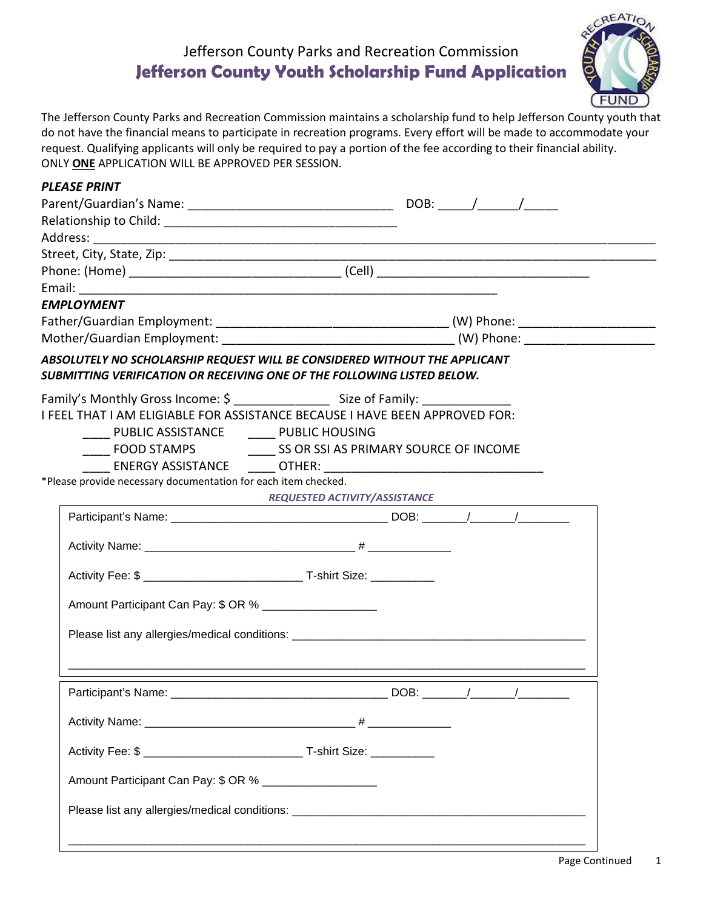## Jefferson County Parks and Recreation Commission **Jefferson County Youth Scholarship Fund Application**



The Jefferson County Parks and Recreation Commission maintains a scholarship fund to help Jefferson County youth that do not have the financial means to participate in recreation programs. Every effort will be made to accommodate your request. Qualifying applicants will only be required to pay a portion of the fee according to their financial ability. ONLY **ONE** APPLICATION WILL BE APPROVED PER SESSION.

| <b>PLEASE PRINT</b>                                                     |                                                                                   |
|-------------------------------------------------------------------------|-----------------------------------------------------------------------------------|
|                                                                         |                                                                                   |
|                                                                         |                                                                                   |
|                                                                         |                                                                                   |
|                                                                         |                                                                                   |
|                                                                         |                                                                                   |
| <b>EMPLOYMENT</b>                                                       |                                                                                   |
|                                                                         |                                                                                   |
|                                                                         |                                                                                   |
| SUBMITTING VERIFICATION OR RECEIVING ONE OF THE FOLLOWING LISTED BELOW. | ABSOLUTELY NO SCHOLARSHIP REQUEST WILL BE CONSIDERED WITHOUT THE APPLICANT        |
|                                                                         |                                                                                   |
|                                                                         | I FEEL THAT I AM ELIGIABLE FOR ASSISTANCE BECAUSE I HAVE BEEN APPROVED FOR:       |
| PUBLIC ASSISTANCE _______ PUBLIC HOUSING                                |                                                                                   |
|                                                                         | <b>THE ROOD STAMPS</b> THE SECTION SOURCE OF INCOME                               |
| *Please provide necessary documentation for each item checked.          |                                                                                   |
|                                                                         | REQUESTED ACTIVITY/ASSISTANCE                                                     |
|                                                                         |                                                                                   |
|                                                                         |                                                                                   |
|                                                                         |                                                                                   |
|                                                                         |                                                                                   |
|                                                                         |                                                                                   |
| Amount Participant Can Pay: \$ OR % ____________________                |                                                                                   |
|                                                                         |                                                                                   |
|                                                                         | Please list any allergies/medical conditions: ___________________________________ |
|                                                                         |                                                                                   |
| Participant's Name:                                                     | DOB:                                                                              |
|                                                                         |                                                                                   |
|                                                                         |                                                                                   |
| Amount Participant Can Pay: \$ OR % ___________________                 |                                                                                   |
|                                                                         |                                                                                   |